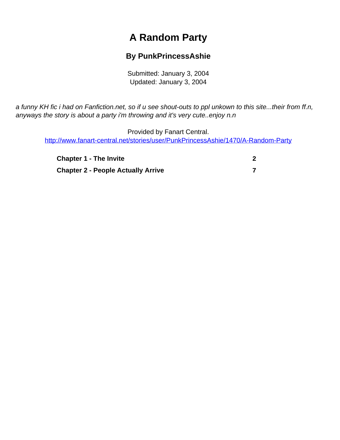## **A Random Party**

## **By PunkPrincessAshie**

Submitted: January 3, 2004 Updated: January 3, 2004

<span id="page-0-0"></span>a funny KH fic i had on Fanfiction.net, so if u see shout-outs to ppl unkown to this site...their from ff.n, anyways the story is about a party i'm throwing and it's very cute..enjoy n.n

Provided by Fanart Central. [http://www.fanart-central.net/stories/user/PunkPrincessAshie/1470/A-Random-Party](#page-0-0)

| <b>Chapter 1 - The Invite</b>             |  |
|-------------------------------------------|--|
| <b>Chapter 2 - People Actually Arrive</b> |  |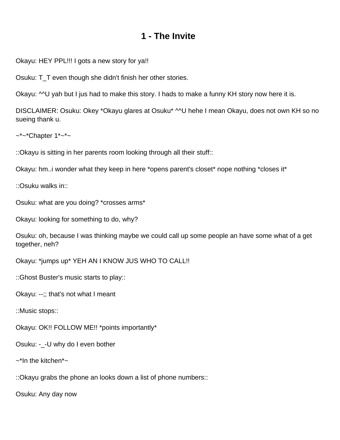## **1 - The Invite**

<span id="page-1-0"></span>Okayu: HEY PPL!!! I gots a new story for ya!!

Osuku: T\_T even though she didn't finish her other stories.

Okayu: ^^U yah but I jus had to make this story. I hads to make a funny KH story now here it is.

DISCLAIMER: Osuku: Okey \*Okayu glares at Osuku\* ^^U hehe I mean Okayu, does not own KH so no sueing thank u.

 $\sim$ \*~\*Chapter 1\*~\*~

::Okayu is sitting in her parents room looking through all their stuff::

Okayu: hm..i wonder what they keep in here \*opens parent's closet\* nope nothing \*closes it\*

::Osuku walks in::

Osuku: what are you doing? \*crosses arms\*

Okayu: looking for something to do, why?

Osuku: oh, because I was thinking maybe we could call up some people an have some what of a get together, neh?

Okayu: \*jumps up\* YEH AN I KNOW JUS WHO TO CALL!!

::Ghost Buster's music starts to play::

Okayu: --;; that's not what I meant

::Music stops::

Okayu: OK!! FOLLOW ME!! \*points importantly\*

Osuku: -\_-U why do I even bother

 $\sim$ \*In the kitchen\* $\sim$ 

::Okayu grabs the phone an looks down a list of phone numbers::

Osuku: Any day now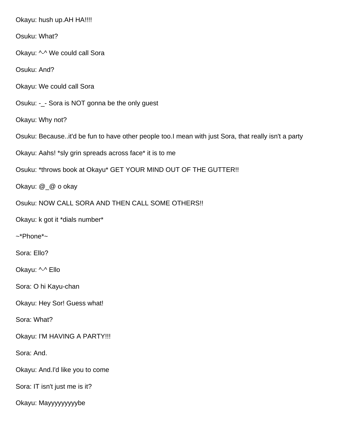Okayu: hush up.AH HA!!!! Osuku: What? Okayu: ^-^ We could call Sora Osuku: And? Okayu: We could call Sora Osuku: -\_- Sora is NOT gonna be the only guest Okayu: Why not? Osuku: Because..it'd be fun to have other people too.I mean with just Sora, that really isn't a party Okayu: Aahs! \*sly grin spreads across face\* it is to me Osuku: \*throws book at Okayu\* GET YOUR MIND OUT OF THE GUTTER!! Okayu: @\_@ o okay Osuku: NOW CALL SORA AND THEN CALL SOME OTHERS!! Okayu: k got it \*dials number\* ~\*Phone\*~ Sora: Ello? Okayu: ^-^ Ello Sora: O hi Kayu-chan Okayu: Hey Sor! Guess what! Sora: What? Okayu: I'M HAVING A PARTY!!! Sora: And. Okayu: And.I'd like you to come Sora: IT isn't just me is it? Okayu: Mayyyyyyyyybe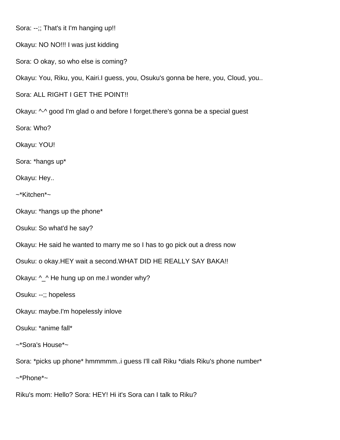Sora: --;; That's it I'm hanging up!!

Okayu: NO NO!!! I was just kidding

Sora: O okay, so who else is coming?

Okayu: You, Riku, you, Kairi.I guess, you, Osuku's gonna be here, you, Cloud, you..

Sora: ALL RIGHT I GET THE POINT!!

Okayu: ^-^ good I'm glad o and before I forget.there's gonna be a special guest

Sora: Who?

Okayu: YOU!

Sora: \*hangs up\*

Okayu: Hey..

~\*Kitchen\*~

Okayu: \*hangs up the phone\*

Osuku: So what'd he say?

Okayu: He said he wanted to marry me so I has to go pick out a dress now

Osuku: o okay.HEY wait a second.WHAT DID HE REALLY SAY BAKA!!

Okayu: ^ ^ He hung up on me.I wonder why?

Osuku: --;; hopeless

Okayu: maybe.I'm hopelessly inlove

Osuku: \*anime fall\*

~\*Sora's House\*~

Sora: \*picks up phone\* hmmmmm..i guess I'll call Riku \*dials Riku's phone number\*

~\*Phone\*~

Riku's mom: Hello? Sora: HEY! Hi it's Sora can I talk to Riku?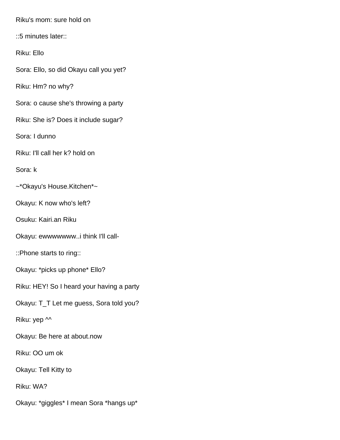Riku's mom: sure hold on

::5 minutes later::

Riku: Ello

Sora: Ello, so did Okayu call you yet?

Riku: Hm? no why?

Sora: o cause she's throwing a party

Riku: She is? Does it include sugar?

Sora: I dunno

Riku: I'll call her k? hold on

Sora: k

~\*Okayu's House.Kitchen\*~

Okayu: K now who's left?

Osuku: Kairi.an Riku

Okayu: ewwwwwww..i think I'll call-

::Phone starts to ring::

Okayu: \*picks up phone\* Ello?

Riku: HEY! So I heard your having a party

Okayu: T\_T Let me guess, Sora told you?

Riku: yep  $\sim$ 

Okayu: Be here at about.now

Riku: OO um ok

Okayu: Tell Kitty to

Riku: WA?

Okayu: \*giggles\* I mean Sora \*hangs up\*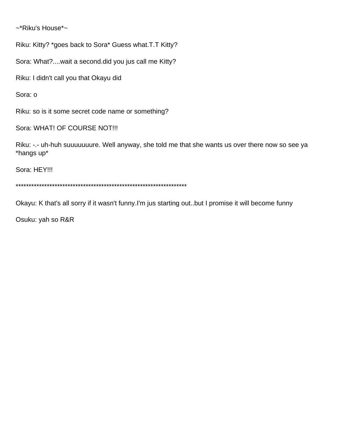~\*Riku's House\*~

Riku: Kitty? \*goes back to Sora\* Guess what.T.T Kitty?

Sora: What?....wait a second.did you jus call me Kitty?

Riku: I didn't call you that Okayu did

Sora: o

Riku: so is it some secret code name or something?

Sora: WHAT! OF COURSE NOT!!!

Riku: -.- uh-huh suuuuuuure. Well anyway, she told me that she wants us over there now so see ya \*hangs up\*

Sora: HEY!!!

\*\*\*\*\*\*\*\*\*\*\*\*\*\*\*\*\*\*\*\*\*\*\*\*\*\*\*\*\*\*\*\*\*\*\*\*\*\*\*\*\*\*\*\*\*\*\*\*\*\*\*\*\*\*\*\*\*\*\*\*\*\*\*\*\*\*

Okayu: K that's all sorry if it wasn't funny.I'm jus starting out..but I promise it will become funny

Osuku: yah so R&R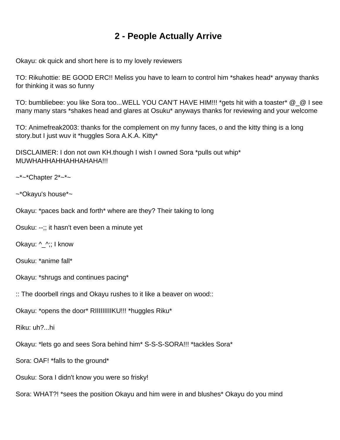## **2 - People Actually Arrive**

<span id="page-6-0"></span>Okayu: ok quick and short here is to my lovely reviewers

TO: Rikuhottie: BE GOOD ERC!! Meliss you have to learn to control him \*shakes head\* anyway thanks for thinking it was so funny

TO: bumbliebee: you like Sora too...WELL YOU CAN'T HAVE HIM!!! \*gets hit with a toaster\* @\_@ I see many many stars \*shakes head and glares at Osuku\* anyways thanks for reviewing and your welcome

TO: Animefreak2003: thanks for the complement on my funny faces, o and the kitty thing is a long story.but I just wuv it \*huggles Sora A.K.A. Kitty\*

DISCLAIMER: I don not own KH.though I wish I owned Sora \*pulls out whip\* MUWHAHHAHHAHHAHAHA!!!

 $\sim$ \*~\*Chapter 2\*~\*~

~\*Okayu's house\*~

Okayu: \*paces back and forth\* where are they? Their taking to long

Osuku: --;; it hasn't even been a minute yet

Okayu: ^\_^;; I know

Osuku: \*anime fall\*

Okayu: \*shrugs and continues pacing\*

:: The doorbell rings and Okayu rushes to it like a beaver on wood::

Okayu: \*opens the door\* RIIIIIIIIIKU!!! \*huggles Riku\*

Riku: uh?...hi

Okayu: \*lets go and sees Sora behind him\* S-S-S-SORA!!! \*tackles Sora\*

Sora: OAF! \*falls to the ground\*

Osuku: Sora I didn't know you were so frisky!

Sora: WHAT?! \*sees the position Okayu and him were in and blushes\* Okayu do you mind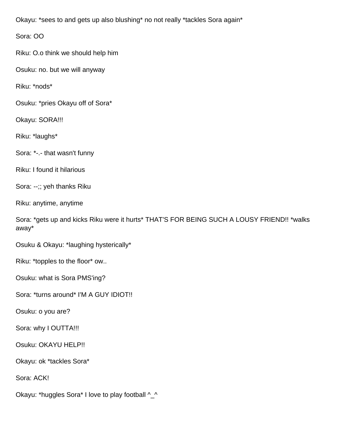Okayu: \*sees to and gets up also blushing\* no not really \*tackles Sora again\*

Sora: OO

Riku: O.o think we should help him

Osuku: no. but we will anyway

Riku: \*nods\*

Osuku: \*pries Okayu off of Sora\*

Okayu: SORA!!!

Riku: \*laughs\*

Sora: \*-.- that wasn't funny

Riku: I found it hilarious

Sora: --;; yeh thanks Riku

Riku: anytime, anytime

Sora: \*gets up and kicks Riku were it hurts\* THAT'S FOR BEING SUCH A LOUSY FRIEND!! \*walks away\*

Osuku & Okayu: \*laughing hysterically\*

Riku: \*topples to the floor\* ow..

Osuku: what is Sora PMS'ing?

Sora: \*turns around\* I'M A GUY IDIOT!!

Osuku: o you are?

Sora: why I OUTTA!!!

Osuku: OKAYU HELP!!

Okayu: ok \*tackles Sora\*

Sora: ACK!

Okayu: \*huggles Sora\* I love to play football ^\_^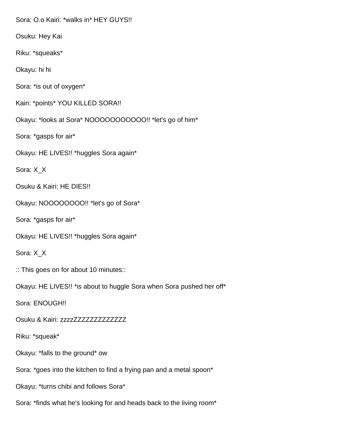Sora: O.o Kairi: \*walks in\* HEY GUYS!!

Osuku: Hey Kai

Riku: \*squeaks\*

Okayu: hi hi

Sora: \*is out of oxygen\*

Kairi: \*points\* YOU KILLED SORA!!

Okayu: \*looks at Sora\* NOOOOOOOOOOO!! \*let's go of him\*

Sora: \*gasps for air\*

Okayu: HE LIVES!! \*huggles Sora again\*

Sora: X\_X

Osuku & Kairi: HE DIES!!

Okayu: NOOOOOOOO!! \*let's go of Sora\*

Sora: \*gasps for air\*

Okayu: HE LIVES!! \*huggles Sora again\*

Sora: X\_X

:: This goes on for about 10 minutes::

Okayu: HE LIVES!! \*is about to huggle Sora when Sora pushed her off\*

Sora: ENOUGH!!

Osuku & Kairi: zzzzZZZZZZZZZZZZZ

Riku: \*squeak\*

Okayu: \*falls to the ground\* ow

Sora: \*goes into the kitchen to find a frying pan and a metal spoon\*

Okayu: \*turns chibi and follows Sora\*

Sora: \*finds what he's looking for and heads back to the living room\*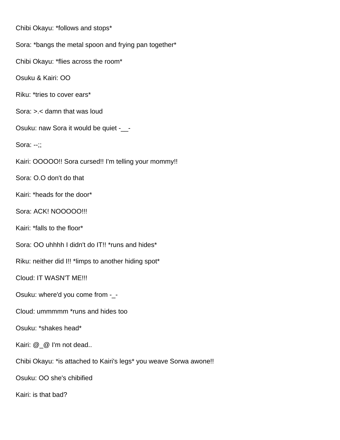Chibi Okayu: \*follows and stops\* Sora: \*bangs the metal spoon and frying pan together\* Chibi Okayu: \*flies across the room\* Osuku & Kairi: OO Riku: \*tries to cover ears\* Sora: >.< damn that was loud Osuku: naw Sora it would be quiet -\_\_- Sora: --;; Kairi: OOOOO!! Sora cursed!! I'm telling your mommy!! Sora: O.O don't do that Kairi: \*heads for the door\* Sora: ACK! NOOOOO!!! Kairi: \*falls to the floor\* Sora: OO uhhhh I didn't do IT!! \*runs and hides\* Riku: neither did I!! \*limps to another hiding spot\* Cloud: IT WASN'T ME!!! Osuku: where'd you come from -\_- Cloud: ummmmm \*runs and hides too Osuku: \*shakes head\* Kairi: @\_@ I'm not dead.. Chibi Okayu: \*is attached to Kairi's legs\* you weave Sorwa awone!! Osuku: OO she's chibified

Kairi: is that bad?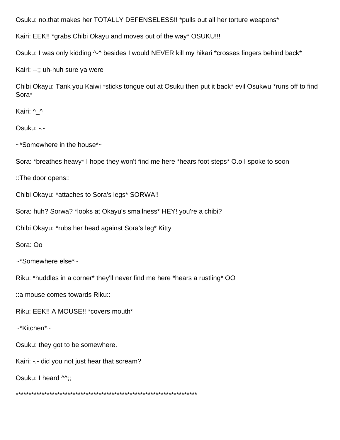Osuku: no.that makes her TOTALLY DEFENSELESS!! \*pulls out all her torture weapons\*

Kairi: EEK!! \*grabs Chibi Okayu and moves out of the way\* OSUKU!!!

Osuku: I was only kidding ^-^ besides I would NEVER kill my hikari \*crosses fingers behind back\*

Kairi: --;; uh-huh sure ya were

Chibi Okayu: Tank you Kaiwi \*sticks tongue out at Osuku then put it back\* evil Osukwu \*runs off to find Sora\*

Kairi: ^\_^

Osuku: -.-

~\*Somewhere in the house\*~

Sora: \*breathes heavy\* I hope they won't find me here \*hears foot steps\* O.o I spoke to soon

::The door opens::

Chibi Okayu: \*attaches to Sora's legs\* SORWA!!

Sora: huh? Sorwa? \*looks at Okayu's smallness\* HEY! you're a chibi?

Chibi Okayu: \*rubs her head against Sora's leg\* Kitty

Sora: Oo

~\*Somewhere else\*~

Riku: \*huddles in a corner\* they'll never find me here \*hears a rustling\* OO

::a mouse comes towards Riku::

Riku: EEK!! A MOUSE!! \*covers mouth\*

~\*Kitchen\*~

Osuku: they got to be somewhere.

Kairi: -.- did you not just hear that scream?

Osuku: I heard  $\wedge$ ;;

\*\*\*\*\*\*\*\*\*\*\*\*\*\*\*\*\*\*\*\*\*\*\*\*\*\*\*\*\*\*\*\*\*\*\*\*\*\*\*\*\*\*\*\*\*\*\*\*\*\*\*\*\*\*\*\*\*\*\*\*\*\*\*\*\*\*\*\*\*\*